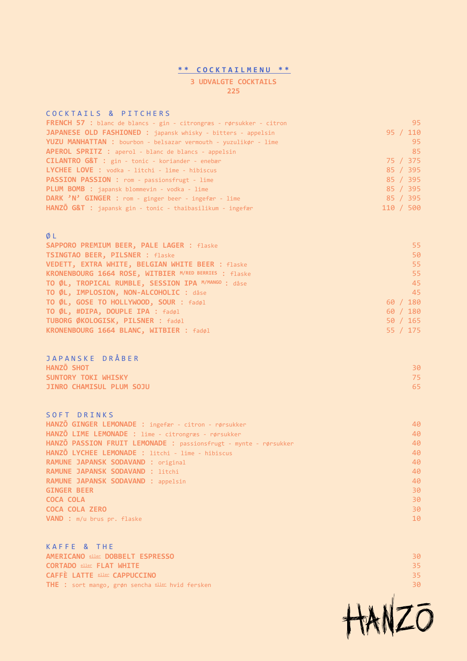#### **\*\* COCKTAILMENU \*\***

### **3 UDVALGTE COCKTAILS 225**

### COCKTAILS & PITCHERS

| <b>FRENCH 57 :</b> blanc de blancs - gin - citrongræs - rørsukker - citron |           | 95       |
|----------------------------------------------------------------------------|-----------|----------|
| JAPANESE OLD FASHIONED : japansk whisky - bitters - appelsin               |           | 95 / 110 |
| YUZU MANHATTAN : bourbon - belsazar vermouth - yuzulikør - lime            |           | 95       |
| APEROL SPRITZ : aperol - blanc de blancs - appelsin                        |           | 85       |
| CILANTRO G&T : gin - tonic - koriander - enebær                            |           | 75 / 375 |
| LYCHEE LOVE : vodka - litchi - lime - hibiscus                             |           | 85 / 395 |
| PASSION PASSION : rom - passionsfrugt - lime                               |           | 85 / 395 |
| PLUM BOMB : japansk blommevin - vodka - lime                               |           | 85 / 395 |
| DARK 'N' GINGER : rom - ginger beer - ingefær - lime                       |           | 85 / 395 |
| HANZO G&T : japansk gin - tonic - thaibasilikum - ingefær                  | 110 / 500 |          |

#### Ø L

| SAPPORO PREMIUM BEER, PALE LAGER : flaske             | 55       |
|-------------------------------------------------------|----------|
| TSINGTAO BEER, PILSNER : flaske                       | 50       |
| VEDETT, EXTRA WHITE, BELGIAN WHITE BEER : flaske      | 55.      |
| KRONENBOURG 1664 ROSE, WITBIER M/RED BERRIES : flaske | 55       |
| TO ØL, TROPICAL RUMBLE, SESSION IPA M/MANGO : dåse    | 45       |
| TO ØL, IMPLOSION, NON-ALCOHOLIC : dåse                | 45       |
| TO ØL, GOSE TO HOLLYWOOD, SOUR : fadøl                | 60 / 180 |
| TO ØL, #DIPA, DOUPLE IPA : fadøl                      | 60 / 180 |
| TUBORG ØKOLOGISK, PILSNER : fadøl                     | 50 / 165 |
| KRONENBOURG 1664 BLANC, WITBIER : fadøl               | 55 / 175 |

SOFT DRINKS **HANZŌ GINGER LEMONADE** : ingefær - citron - rørsukker 40 **HANZŌ LIME LEMONADE** : lime - citrongræs - rørsukker 40 **HANZŌ PASSION FRUIT LEMONADE** : passionsfrugt - mynte - rørsukker 40 **HANZŌ LYCHEE LEMONADE** : litchi - lime - hibiscus 40 **RAMUNE JAPANSK SODAVAND** : original 40 **RAMUNE JAPANSK SODAVAND** : litchi 40 **RAMUNE JAPANSK SODAVAND** : appelsin 40 **GINGER BEER 30 AND 100 AND 100 AND 100 AND 100 AND 100 AND 100 AND 100 AND 100 AND 100 AND 100 AND 100 AND 100 COCA COLA** 30 **COCA COLA ZERO 30 VAND** : m/u brus pr. flaske 10 and 10 and 10 and 10 and 10 and 10 and 10 and 10 and 10 and 10 and 10 and 10 and 10 and 10 and 10 and 10 and 10 and 10 and 10 and 10 and 10 and 10 and 10 and 10 and 10 and 10 and 10 and 10 a

KAFFE & THE **AMERICANO** eller **DOBBELT ESPRESSO** 30 **CORTADO** eller **FLAT WHITE** 35 **CAFFÈ LATTE** eller **CAPPUCCINO** 35